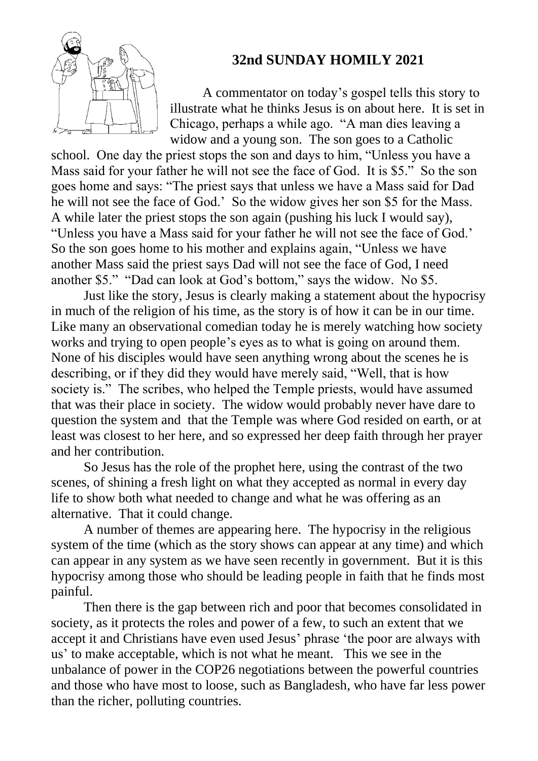

## **32nd SUNDAY HOMILY 2021**

A commentator on today's gospel tells this story to illustrate what he thinks Jesus is on about here. It is set in Chicago, perhaps a while ago. "A man dies leaving a widow and a young son. The son goes to a Catholic

school. One day the priest stops the son and days to him, "Unless you have a Mass said for your father he will not see the face of God. It is \$5." So the son goes home and says: "The priest says that unless we have a Mass said for Dad he will not see the face of God.' So the widow gives her son \$5 for the Mass. A while later the priest stops the son again (pushing his luck I would say), "Unless you have a Mass said for your father he will not see the face of God.' So the son goes home to his mother and explains again, "Unless we have another Mass said the priest says Dad will not see the face of God, I need another \$5." "Dad can look at God's bottom," says the widow. No \$5.

Just like the story, Jesus is clearly making a statement about the hypocrisy in much of the religion of his time, as the story is of how it can be in our time. Like many an observational comedian today he is merely watching how society works and trying to open people's eyes as to what is going on around them. None of his disciples would have seen anything wrong about the scenes he is describing, or if they did they would have merely said, "Well, that is how society is." The scribes, who helped the Temple priests, would have assumed that was their place in society. The widow would probably never have dare to question the system and that the Temple was where God resided on earth, or at least was closest to her here, and so expressed her deep faith through her prayer and her contribution.

So Jesus has the role of the prophet here, using the contrast of the two scenes, of shining a fresh light on what they accepted as normal in every day life to show both what needed to change and what he was offering as an alternative. That it could change.

A number of themes are appearing here. The hypocrisy in the religious system of the time (which as the story shows can appear at any time) and which can appear in any system as we have seen recently in government. But it is this hypocrisy among those who should be leading people in faith that he finds most painful.

Then there is the gap between rich and poor that becomes consolidated in society, as it protects the roles and power of a few, to such an extent that we accept it and Christians have even used Jesus' phrase 'the poor are always with us' to make acceptable, which is not what he meant. This we see in the unbalance of power in the COP26 negotiations between the powerful countries and those who have most to loose, such as Bangladesh, who have far less power than the richer, polluting countries.